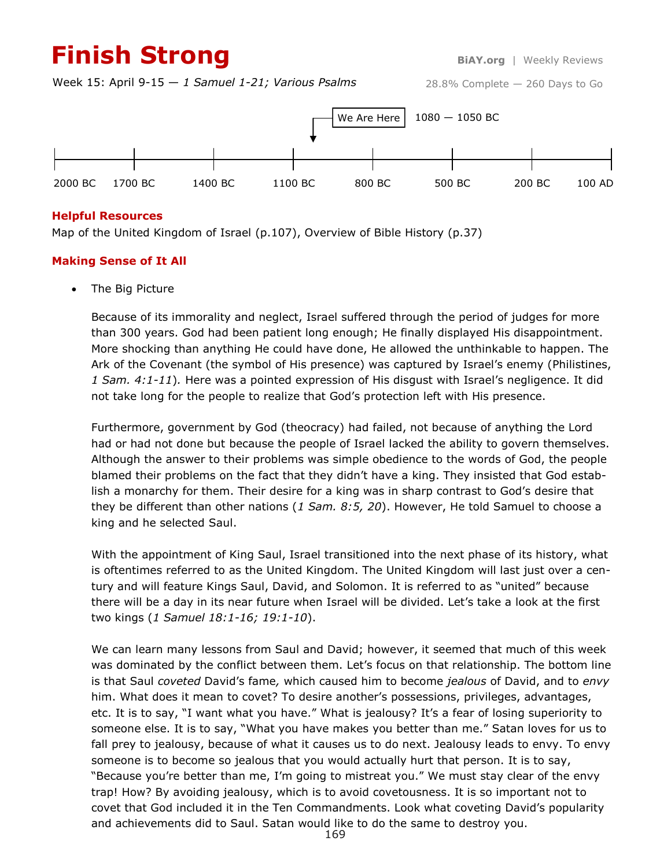# **Finish Strong BiAY.org** | Weekly Reviews

Week 15: April 9-15 — *1 Samuel 1-21; Various Psalms*





## **Helpful Resources**

Map of the United Kingdom of Israel (p.107), Overview of Bible History (p.37)

## **Making Sense of It All**

The Big Picture

Because of its immorality and neglect, Israel suffered through the period of judges for more than 300 years. God had been patient long enough; He finally displayed His disappointment. More shocking than anything He could have done, He allowed the unthinkable to happen. The Ark of the Covenant (the symbol of His presence) was captured by Israel's enemy (Philistines, *1 Sam. 4:1-11*)*.* Here was a pointed expression of His disgust with Israel's negligence. It did not take long for the people to realize that God's protection left with His presence.

Furthermore, government by God (theocracy) had failed, not because of anything the Lord had or had not done but because the people of Israel lacked the ability to govern themselves. Although the answer to their problems was simple obedience to the words of God, the people blamed their problems on the fact that they didn't have a king. They insisted that God establish a monarchy for them. Their desire for a king was in sharp contrast to God's desire that they be different than other nations (*1 Sam. 8:5, 20*). However, He told Samuel to choose a king and he selected Saul.

With the appointment of King Saul, Israel transitioned into the next phase of its history, what is oftentimes referred to as the United Kingdom. The United Kingdom will last just over a century and will feature Kings Saul, David, and Solomon. It is referred to as "united" because there will be a day in its near future when Israel will be divided. Let's take a look at the first two kings (*1 Samuel 18:1-16; 19:1-10*).

We can learn many lessons from Saul and David; however, it seemed that much of this week was dominated by the conflict between them. Let's focus on that relationship. The bottom line is that Saul *coveted* David's fame*,* which caused him to become *jealous* of David, and to *envy*  him. What does it mean to covet? To desire another's possessions, privileges, advantages, etc. It is to say, "I want what you have." What is jealousy? It's a fear of losing superiority to someone else. It is to say, "What you have makes you better than me." Satan loves for us to fall prey to jealousy, because of what it causes us to do next. Jealousy leads to envy. To envy someone is to become so jealous that you would actually hurt that person. It is to say, "Because you're better than me, I'm going to mistreat you." We must stay clear of the envy trap! How? By avoiding jealousy, which is to avoid covetousness. It is so important not to covet that God included it in the Ten Commandments. Look what coveting David's popularity and achievements did to Saul. Satan would like to do the same to destroy you.